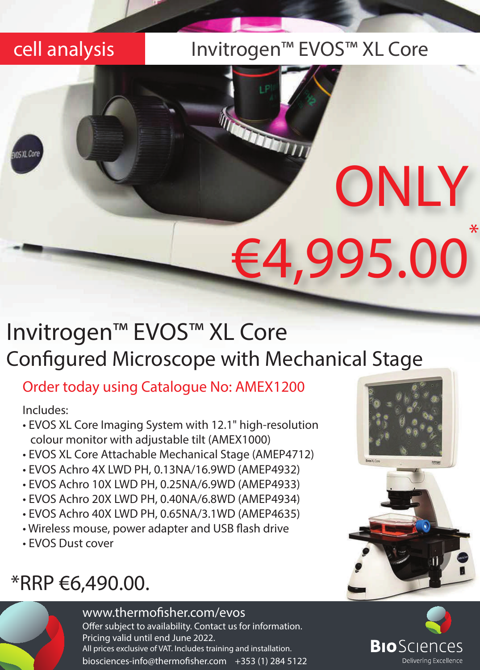### cell analysis Invitrogen™ EVOS™ XL Core

# Invitrogen™ EVOS™ XL Core Configured Microscope with Mechanical Stage

### Order today using Catalogue No: AMEX1200

Includes:

- EVOS XL Core Imaging System with 12.1" high-resolution colour monitor with adjustable tilt (AMEX1000)
- EVOS XL Core Attachable Mechanical Stage (AMEP4712)
- EVOS Achro 4X LWD PH, 0.13NA/16.9WD (AMEP4932)
- EVOS Achro 10X LWD PH, 0.25NA/6.9WD (AMEP4933)
- EVOS Achro 20X LWD PH, 0.40NA/6.8WD (AMEP4934)
- EVOS Achro 40X LWD PH, 0.65NA/3.1WD (AMEP4635)
- Wireless mouse, power adapter and USB flash drive
- EVOS Dust cover

## \*RRP €6,490.00.

### www.thermofisher.com/evos

Offer subject to availability. Contact us for information. Pricing valid until end June 2022. All prices exclusive of VAT. Includes training and installation. biosciences-info@thermofisher.com +353 (1) 284 5122



ONLY

\*

€4,995.00